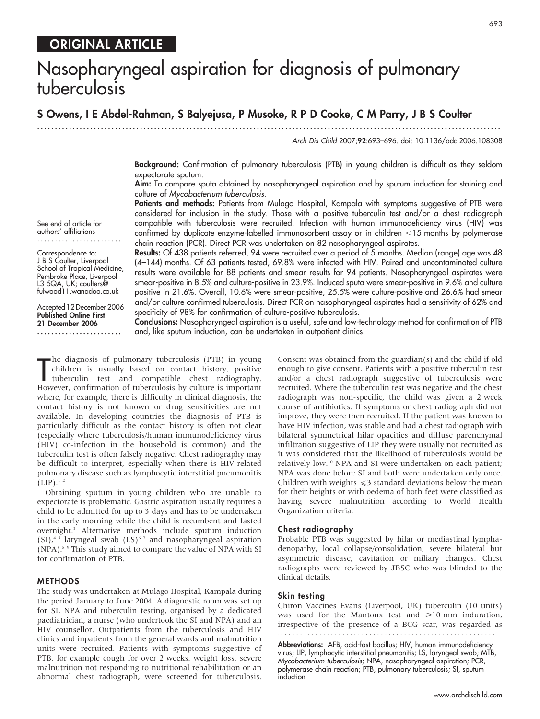# ORIGINAL ARTICLE

# Nasopharyngeal aspiration for diagnosis of pulmonary tuberculosis

# S Owens, I E Abdel-Rahman, S Balyejusa, P Musoke, R P D Cooke, C M Parry, J B S Coulter

............................................................... ............................................................... .....

Arch Dis Child 2007;92:693–696. doi: 10.1136/adc.2006.108308

Background: Confirmation of pulmonary tuberculosis (PTB) in young children is difficult as they seldom expectorate sputum.

Aim: To compare sputa obtained by nasopharyngeal aspiration and by sputum induction for staining and culture of Mycobacterium tuberculosis.

Patients and methods: Patients from Mulago Hospital, Kampala with symptoms suggestive of PTB were considered for inclusion in the study. Those with a positive tuberculin test and/or a chest radiograph compatible with tuberculosis were recruited. Infection with human immunodeficiency virus (HIV) was confirmed by duplicate enzyme-labelled immunosorbent assay or in children <15 months by polymerase chain reaction (PCR). Direct PCR was undertaken on 82 nasopharyngeal aspirates.

Results: Of 438 patients referred, 94 were recruited over a period of 5 months. Median (range) age was 48 (4–144) months. Of 63 patients tested, 69.8% were infected with HIV. Paired and uncontaminated culture results were available for 88 patients and smear results for 94 patients. Nasopharyngeal aspirates were smear-positive in 8.5% and culture-positive in 23.9%. Induced sputa were smear-positive in 9.6% and culture positive in 21.6%. Overall, 10.6% were smear-positive, 25.5% were culture-positive and 26.6% had smear and/or culture confirmed tuberculosis. Direct PCR on nasopharyngeal aspirates had a sensitivity of 62% and specificity of 98% for confirmation of culture-positive tuberculosis.

Conclusions: Nasopharyngeal aspiration is a useful, safe and low-technology method for confirmation of PTB and, like sputum induction, can be undertaken in outpatient clinics.

The diagnosis of pulmonary tuberculosis (PTB) in young<br>
children is usually based on contact history, positive<br>
tuberculin test and compatible chest radiography.<br>
However, confirmation of tuberculosis by culture is importa he diagnosis of pulmonary tuberculosis (PTB) in young children is usually based on contact history, positive tuberculin test and compatible chest radiography. where, for example, there is difficulty in clinical diagnosis, the contact history is not known or drug sensitivities are not available. In developing countries the diagnosis of PTB is particularly difficult as the contact history is often not clear (especially where tuberculosis/human immunodeficiency virus (HIV) co-infection in the household is common) and the tuberculin test is often falsely negative. Chest radiography may be difficult to interpret, especially when there is HIV-related pulmonary disease such as lymphocytic interstitial pneumonitis  $(LIP).$ <sup>12</sup>

Obtaining sputum in young children who are unable to expectorate is problematic. Gastric aspiration usually requires a child to be admitted for up to 3 days and has to be undertaken in the early morning while the child is recumbent and fasted overnight.3 Alternative methods include sputum induction (SI),<sup>45</sup> laryngeal swab (LS)<sup>67</sup> and nasopharyngeal aspiration (NPA).8 9 This study aimed to compare the value of NPA with SI for confirmation of PTB.

# METHODS

The study was undertaken at Mulago Hospital, Kampala during the period January to June 2004. A diagnostic room was set up for SI, NPA and tuberculin testing, organised by a dedicated paediatrician, a nurse (who undertook the SI and NPA) and an HIV counsellor. Outpatients from the tuberculosis and HIV clinics and inpatients from the general wards and malnutrition units were recruited. Patients with symptoms suggestive of PTB, for example cough for over 2 weeks, weight loss, severe malnutrition not responding to nutritional rehabilitation or an abnormal chest radiograph, were screened for tuberculosis.

Consent was obtained from the guardian(s) and the child if old enough to give consent. Patients with a positive tuberculin test and/or a chest radiograph suggestive of tuberculosis were recruited. Where the tuberculin test was negative and the chest radiograph was non-specific, the child was given a 2 week course of antibiotics. If symptoms or chest radiograph did not improve, they were then recruited. If the patient was known to have HIV infection, was stable and had a chest radiograph with bilateral symmetrical hilar opacities and diffuse parenchymal infiltration suggestive of LIP they were usually not recruited as it was considered that the likelihood of tuberculosis would be relatively low.10 NPA and SI were undertaken on each patient; NPA was done before SI and both were undertaken only once. Children with weights  $\leq 3$  standard deviations below the mean for their heights or with oedema of both feet were classified as having severe malnutrition according to World Health Organization criteria.

#### Chest radiography

Probable PTB was suggested by hilar or mediastinal lymphadenopathy, local collapse/consolidation, severe bilateral but asymmetric disease, cavitation or miliary changes. Chest radiographs were reviewed by JBSC who was blinded to the clinical details.

#### Skin testing

Chiron Vaccines Evans (Liverpool, UK) tuberculin (10 units) was used for the Mantoux test and  $\geq 10$  mm induration, irrespective of the presence of a BCG scar, was regarded as 

Abbreviations: AFB, acid-fast bacillus; HIV, human immunodeficiency virus; LIP, lymphocytic interstitial pneumonitis; LS, laryngeal swab; MTB, Mycobacterium tuberculosis; NPA, nasopharyngeal aspiration; PCR, polymerase chain reaction; PTB, pulmonary tuberculosis; SI, sputum induction

See end of article for authors' affiliations ........................

Correspondence to: J B S Coulter, Liverpool School of Tropical Medicine, Pembroke Place, Liverpool L3 5QA, UK; coulters@ fulwood11.wanadoo.co.uk

Accepted 12 December 2006 Published Online First 21 December 2006 ........................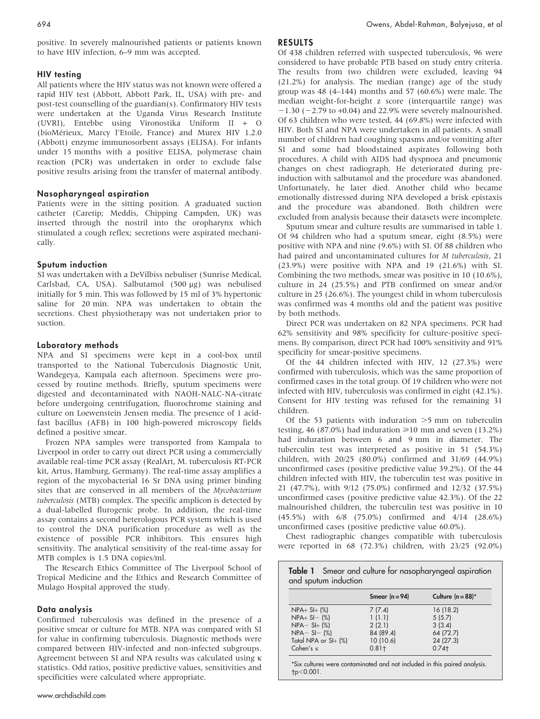positive. In severely malnourished patients or patients known to have HIV infection, 6–9 mm was accepted.

#### HIV testing

All patients where the HIV status was not known were offered a rapid HIV test (Abbott, Abbott Park, IL, USA) with pre- and post-test counselling of the guardian(s). Confirmatory HIV tests were undertaken at the Uganda Virus Research Institute (UVRI), Entebbe using Vironostika Uniform II + O (bioMérieux, Marcy l'Etoile, France) and Murex HIV 1.2.0 (Abbott) enzyme immunosorbent assays (ELISA). For infants under 15 months with a positive ELISA, polymerase chain reaction (PCR) was undertaken in order to exclude false positive results arising from the transfer of maternal antibody.

# Nasopharyngeal aspiration

Patients were in the sitting position. A graduated suction catheter (Caretip; Meddis, Chipping Campden, UK) was inserted through the nostril into the oropharynx which stimulated a cough reflex; secretions were aspirated mechanically.

#### Sputum induction

SI was undertaken with a DeVilbiss nebuliser (Sunrise Medical, Carlsbad, CA, USA). Salbutamol (500 µg) was nebulised initially for 5 min. This was followed by 15 ml of 3% hypertonic saline for 20 min. NPA was undertaken to obtain the secretions. Chest physiotherapy was not undertaken prior to suction.

#### Laboratory methods

NPA and SI specimens were kept in a cool-box until transported to the National Tuberculosis Diagnostic Unit, Wandegeya, Kampala each afternoon. Specimens were processed by routine methods. Briefly, sputum specimens were digested and decontaminated with NAOH-NALC-NA-citrate before undergoing centrifugation, fluorochrome staining and culture on Loewenstein Jensen media. The presence of 1 acidfast bacillus (AFB) in 100 high-powered microscopy fields defined a positive smear.

Frozen NPA samples were transported from Kampala to Liverpool in order to carry out direct PCR using a commercially available real-time PCR assay (RealArt, M. tuberculosis RT-PCR kit, Artus, Hamburg, Germany). The real-time assay amplifies a region of the mycobacterial 16 Sr DNA using primer binding sites that are conserved in all members of the Mycobacterium tuberculosis (MTB) complex. The specific amplicon is detected by a dual-labelled flurogenic probe. In addition, the real-time assay contains a second heterologous PCR system which is used to control the DNA purification procedure as well as the existence of possible PCR inhibitors. This ensures high sensitivity. The analytical sensitivity of the real-time assay for MTB complex is 1.5 DNA copies/ml.

The Research Ethics Committee of The Liverpool School of Tropical Medicine and the Ethics and Research Committee of Mulago Hospital approved the study.

#### Data analysis

Confirmed tuberculosis was defined in the presence of a positive smear or culture for MTB. NPA was compared with SI for value in confirming tuberculosis. Diagnostic methods were compared between HIV-infected and non-infected subgroups. Agreement between SI and NPA results was calculated using  $\kappa$ statistics. Odd ratios, positive predictive values, sensitivities and specificities were calculated where appropriate.

# RESULTS

Of 438 children referred with suspected tuberculosis, 96 were considered to have probable PTB based on study entry criteria. The results from two children were excluded, leaving 94 (21.2%) for analysis. The median (range) age of the study group was 48 (4–144) months and 57 (60.6%) were male. The median weight-for-height z score (interquartile range) was  $-1.30$  ( $-2.79$  to  $+0.04$ ) and 22.9% were severely malnourished. Of 63 children who were tested, 44 (69.8%) were infected with HIV. Both SI and NPA were undertaken in all patients. A small number of children had coughing spasms and/or vomiting after SI and some had bloodstained aspirates following both procedures. A child with AIDS had dyspnoea and pneumonic changes on chest radiograph. He deteriorated during preinduction with salbutamol and the procedure was abandoned. Unfortunately, he later died. Another child who became emotionally distressed during NPA developed a brisk epistaxis and the procedure was abandoned. Both children were excluded from analysis because their datasets were incomplete.

Sputum smear and culture results are summarised in table 1. Of 94 children who had a sputum smear, eight (8.5%) were positive with NPA and nine (9.6%) with SI. Of 88 children who had paired and uncontaminated cultures for M tuberculosis, 21 (23.9%) were positive with NPA and 19 (21.6%) with SI. Combining the two methods, smear was positive in 10 (10.6%), culture in 24 (25.5%) and PTB confirmed on smear and/or culture in 25 (26.6%). The youngest child in whom tuberculosis was confirmed was 4 months old and the patient was positive by both methods.

Direct PCR was undertaken on 82 NPA specimens. PCR had 62% sensitivity and 98% specificity for culture-positive specimens. By comparison, direct PCR had 100% sensitivity and 91% specificity for smear-positive specimens.

Of the 44 children infected with HIV, 12 (27.3%) were confirmed with tuberculosis, which was the same proportion of confirmed cases in the total group. Of 19 children who were not infected with HIV, tuberculosis was confirmed in eight (42.1%). Consent for HIV testing was refused for the remaining 31 children.

Of the 53 patients with induration  $>5$  mm on tuberculin testing, 46 (87.0%) had induration  $\geq 10$  mm and seven (13.2%) had induration between 6 and 9 mm in diameter. The tuberculin test was interpreted as positive in 51 (54.3%) children, with 20/25 (80.0%) confirmed and 31/69 (44.9%) unconfirmed cases (positive predictive value 39.2%). Of the 44 children infected with HIV, the tuberculin test was positive in 21 (47.7%), with 9/12 (75.0%) confirmed and 12/32 (37.5%) unconfirmed cases (positive predictive value 42.3%). Of the 22 malnourished children, the tuberculin test was positive in 10 (45.5%) with 6/8 (75.0%) confirmed and 4/14 (28.6%) unconfirmed cases (positive predictive value 60.0%).

Chest radiographic changes compatible with tuberculosis were reported in 68 (72.3%) children, with 23/25 (92.0%)

|                      | Smear $(n = 94)$ | Culture $(n = 88)^*$ |  |  |  |
|----------------------|------------------|----------------------|--|--|--|
| $NPA + SI +$ (%)     | 7(7.4)           | 16(18.2)             |  |  |  |
| $NPA + SI -$ (%)     | 1(1.1)           | 5(5.7)               |  |  |  |
| $NPA - SI + (%)$     | 2(2.1)           | 3(3.4)               |  |  |  |
| $NPA - SI - (%)$     | 84 (89.4)        | 64 (72.7)            |  |  |  |
| Total NPA or SI+ (%) | 10(10.6)         | 24(27.3)             |  |  |  |
| Cohen's $\kappa$     | $0.81 +$         | $0.74 +$             |  |  |  |

\*Six cultures were contaminated and not included in this paired analysis.  $to < 0.001$ .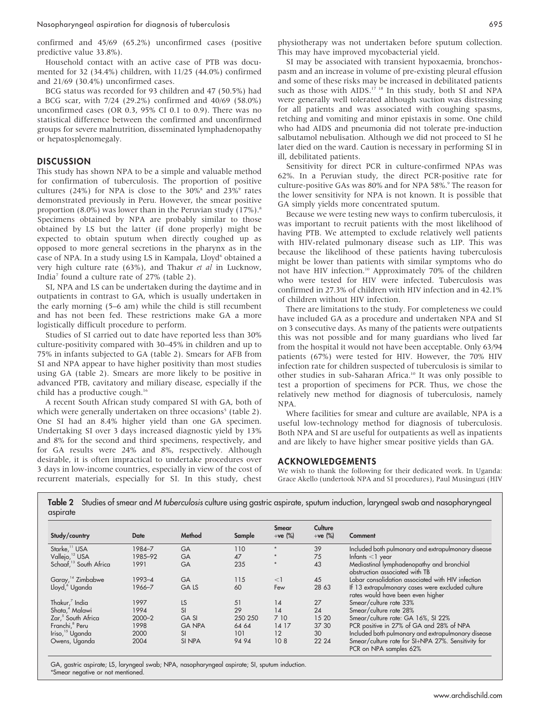Nasopharyngeal aspiration for diagnosis of tuberculosis 695

confirmed and 45/69 (65.2%) unconfirmed cases (positive predictive value 33.8%).

Household contact with an active case of PTB was documented for 32 (34.4%) children, with 11/25 (44.0%) confirmed and 21/69 (30.4%) unconfirmed cases.

BCG status was recorded for 93 children and 47 (50.5%) had a BCG scar, with 7/24 (29.2%) confirmed and 40/69 (58.0%) unconfirmed cases (OR 0.3, 95% CI 0.1 to 0.9). There was no statistical difference between the confirmed and unconfirmed groups for severe malnutrition, disseminated lymphadenopathy or hepatosplenomegaly.

# **DISCUSSION**

This study has shown NPA to be a simple and valuable method for confirmation of tuberculosis. The proportion of positive cultures (24%) for NPA is close to the  $30\%$ <sup>8</sup> and  $23\%$ <sup>9</sup> rates demonstrated previously in Peru. However, the smear positive proportion  $(8.0\%)$  was lower than in the Peruvian study  $(17\%)$ .<sup>8</sup> Specimens obtained by NPA are probably similar to those obtained by LS but the latter (if done properly) might be expected to obtain sputum when directly coughed up as opposed to more general secretions in the pharynx as in the case of NPA. In a study using LS in Kampala, Lloyd<sup>6</sup> obtained a very high culture rate (63%), and Thakur et al in Lucknow, India7 found a culture rate of 27% (table 2).

SI, NPA and LS can be undertaken during the daytime and in outpatients in contrast to GA, which is usually undertaken in the early morning (5–6 am) while the child is still recumbent and has not been fed. These restrictions make GA a more logistically difficult procedure to perform.

Studies of SI carried out to date have reported less than 30% culture-positivity compared with 30–45% in children and up to 75% in infants subjected to GA (table 2). Smears for AFB from SI and NPA appear to have higher positivity than most studies using GA (table 2). Smears are more likely to be positive in advanced PTB, cavitatory and miliary disease, especially if the child has a productive cough.<sup>16</sup>

A recent South African study compared SI with GA, both of which were generally undertaken on three occasions<sup>5</sup> (table 2). One SI had an 8.4% higher yield than one GA specimen. Undertaking SI over 3 days increased diagnostic yield by 13% and 8% for the second and third specimens, respectively, and for GA results were 24% and 8%, respectively. Although desirable, it is often impractical to undertake procedures over 3 days in low-income countries, especially in view of the cost of recurrent materials, especially for SI. In this study, chest

physiotherapy was not undertaken before sputum collection. This may have improved mycobacterial yield.

SI may be associated with transient hypoxaemia, bronchospasm and an increase in volume of pre-existing pleural effusion and some of these risks may be increased in debilitated patients such as those with AIDS.<sup>17</sup> <sup>18</sup> In this study, both SI and NPA were generally well tolerated although suction was distressing for all patients and was associated with coughing spasms, retching and vomiting and minor epistaxis in some. One child who had AIDS and pneumonia did not tolerate pre-induction salbutamol nebulisation. Although we did not proceed to SI he later died on the ward. Caution is necessary in performing SI in ill, debilitated patients.

Sensitivity for direct PCR in culture-confirmed NPAs was 62%. In a Peruvian study, the direct PCR-positive rate for culture-positive GAs was 80% and for NPA 58%.<sup>9</sup> The reason for the lower sensitivity for NPA is not known. It is possible that GA simply yields more concentrated sputum.

Because we were testing new ways to confirm tuberculosis, it was important to recruit patients with the most likelihood of having PTB. We attempted to exclude relatively well patients with HIV-related pulmonary disease such as LIP. This was because the likelihood of these patients having tuberculosis might be lower than patients with similar symptoms who do not have HIV infection.10 Approximately 70% of the children who were tested for HIV were infected. Tuberculosis was confirmed in 27.3% of children with HIV infection and in 42.1% of children without HIV infection.

There are limitations to the study. For completeness we could have included GA as a procedure and undertaken NPA and SI on 3 consecutive days. As many of the patients were outpatients this was not possible and for many guardians who lived far from the hospital it would not have been acceptable. Only 63/94 patients (67%) were tested for HIV. However, the 70% HIV infection rate for children suspected of tuberculosis is similar to other studies in sub-Saharan Africa.<sup>10</sup> It was only possible to test a proportion of specimens for PCR. Thus, we chose the relatively new method for diagnosis of tuberculosis, namely NPA.

Where facilities for smear and culture are available, NPA is a useful low-technology method for diagnosis of tuberculosis. Both NPA and SI are useful for outpatients as well as inpatients and are likely to have higher smear positive yields than GA.

#### ACKNOWLEDGEMENTS

We wish to thank the following for their dedicated work. In Uganda: Grace Akello (undertook NPA and SI procedures), Paul Musinguzi (HIV

Table 2 Studies of smear and M tuberculosis culture using gastric aspirate, sputum induction, laryngeal swab and nasopharyngeal aspirate

| Study/country                      | Date       | Method        | Sample  | Smear<br>$+ve$ (%) | Culture<br>$+ve$ (%) | Comment                                                                               |
|------------------------------------|------------|---------------|---------|--------------------|----------------------|---------------------------------------------------------------------------------------|
| Starke, <sup>11</sup> USA          | 1984-7     | GA            | 110     |                    | 39                   | Included both pulmonary and extrapulmonary disease                                    |
| Vallejo, <sup>12</sup> USA         | 1985-92    | <b>GA</b>     | 47      | $\star$            | 75                   | Infants $<$ 1 year                                                                    |
| Schaaf, <sup>13</sup> South Africa | 1991       | GA            | 235     | $\star$            | 43                   | Mediastinal lymphadenopathy and bronchial<br>obstruction associated with TB           |
| Garay, <sup>14</sup> Zimbabwe      | $1993 - 4$ | <b>GA</b>     | 115     | $\leq$             | 45                   | Lobar consolidation associated with HIV infection                                     |
| Lloyd, <sup>6</sup> Uganda         | 1966-7     | <b>GALS</b>   | 60      | Few                | 28 63                | If 13 extrapulmonary cases were excluded culture<br>rates would have been even higher |
| Thakur, <sup>7</sup> India         | 1997       | LS.           | 51      | 14                 | 27                   | Smear/culture rate 33%                                                                |
| Shata, <sup>4</sup> Malawi         | 1994       | <b>SI</b>     | 29      | 14                 | 24                   | Smear/culture rate 28%                                                                |
| Zar, <sup>5</sup> South Africa     | $2000 - 2$ | <b>GASI</b>   | 250 250 | 7 10               | 15 20                | Smear/culture rate: GA 16%, SI 22%                                                    |
| Franchi, <sup>8</sup> Peru         | 1998       | <b>GANPA</b>  | 64 64   | 14 17              | 37 30                | PCR positive in 27% of GA and 28% of NPA                                              |
| Iriso, <sup>15</sup> Uganda        | 2000       | <sub>SI</sub> | 101     | 12                 | 30                   | Included both pulmonary and extrapulmonary disease                                    |
| Owens, Uganda                      | 2004       | SI NPA        | 94 94   | 108                | 22 24                | Smear/culture rate for SI+NPA 27%. Sensitivity for<br>PCR on NPA samples 62%          |

GA, gastric aspirate; LS, laryngeal swab; NPA, nasopharyngeal aspirate; SI, sputum induction. \*Smear negative or not mentioned.